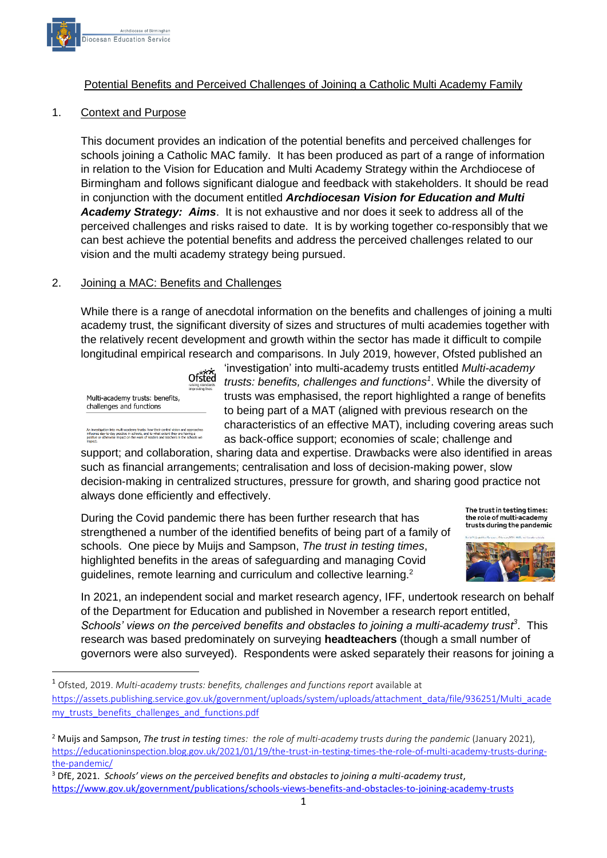

### Potential Benefits and Perceived Challenges of Joining a Catholic Multi Academy Family

#### 1. Context and Purpose

This document provides an indication of the potential benefits and perceived challenges for schools joining a Catholic MAC family. It has been produced as part of a range of information in relation to the Vision for Education and Multi Academy Strategy within the Archdiocese of Birmingham and follows significant dialogue and feedback with stakeholders. It should be read in conjunction with the document entitled *Archdiocesan Vision for Education and Multi Academy Strategy: Aims*. It is not exhaustive and nor does it seek to address all of the perceived challenges and risks raised to date. It is by working together co-responsibly that we can best achieve the potential benefits and address the perceived challenges related to our vision and the multi academy strategy being pursued.

#### 2. Joining a MAC: Benefits and Challenges

While there is a range of anecdotal information on the benefits and challenges of joining a multi academy trust, the significant diversity of sizes and structures of multi academies together with the relatively recent development and growth within the sector has made it difficult to compile longitudinal empirical research and comparisons. In July 2019, however, Ofsted published an

Ofsted Multi-academy trusts: benefits, challenges and functions

into multi-academy trusts: how their central vision and approache<br>day practice in schools, and to what extent they are having a<br>vise impact on the work of leaders and teachers in the schools we

'investigation' into multi-academy trusts entitled *Multi-academy trusts: benefits, challenges and functions<sup>1</sup>* . While the diversity of trusts was emphasised, the report highlighted a range of benefits to being part of a MAT (aligned with previous research on the characteristics of an effective MAT), including covering areas such as back-office support; economies of scale; challenge and

support; and collaboration, sharing data and expertise. Drawbacks were also identified in areas such as financial arrangements; centralisation and loss of decision-making power, slow decision-making in centralized structures, pressure for growth, and sharing good practice not always done efficiently and effectively.

During the Covid pandemic there has been further research that has strengthened a number of the identified benefits of being part of a family of schools. One piece by Muijs and Sampson, *The trust in testing times*, highlighted benefits in the areas of safeguarding and managing Covid guidelines, remote learning and curriculum and collective learning.<sup>2</sup>



The trust in testing times: the role of multi-academy

In 2021, an independent social and market research agency, IFF, undertook research on behalf of the Department for Education and published in November a research report entitled, *Schools' views on the perceived benefits and obstacles to joining a multi-academy trust<sup>3</sup>* . This research was based predominately on surveying **headteachers** (though a small number of governors were also surveyed). Respondents were asked separately their reasons for joining a

<sup>1</sup> Ofsted, 2019. *Multi-academy trusts: benefits, challenges and functions report* available at [https://assets.publishing.service.gov.uk/government/uploads/system/uploads/attachment\\_data/file/936251/Multi\\_acade](https://assets.publishing.service.gov.uk/government/uploads/system/uploads/attachment_data/file/936251/Multi_academy_trusts_benefits_challenges_and_functions.pdf) my trusts benefits challenges and functions.pdf

<sup>3</sup> DfE, 2021. *Schools' views on the perceived benefits and obstacles to joining a multi-academy trust*, <https://www.gov.uk/government/publications/schools-views-benefits-and-obstacles-to-joining-academy-trusts>

<sup>2</sup> Muijs and Sampson, *The trust in testing times: the role of multi-academy trusts during the pandemic* (January 2021), [https://educationinspection.blog.gov.uk/2021/01/19/the-trust-in-testing-times-the-role-of-multi-academy-trusts-during](https://educationinspection.blog.gov.uk/2021/01/19/the-trust-in-testing-times-the-role-of-multi-academy-trusts-during-the-pandemic/)[the-pandemic/](https://educationinspection.blog.gov.uk/2021/01/19/the-trust-in-testing-times-the-role-of-multi-academy-trusts-during-the-pandemic/)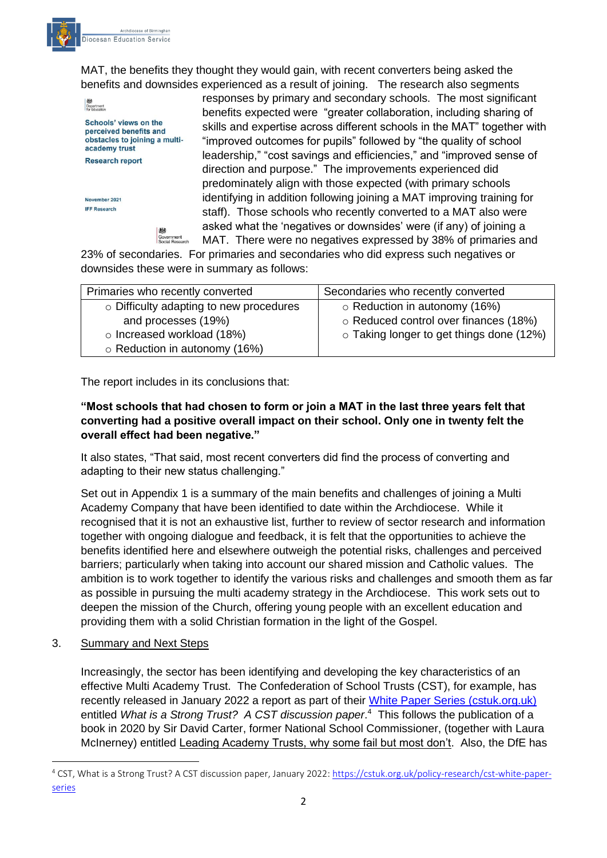

MAT, the benefits they thought they would gain, with recent converters being asked the benefits and downsides experienced as a result of joining. The research also segments

**Separtment**<br>for Education Schools' views on the perceived benefits and obstacles to joining a multiacademy trust **Research report** 

November 2021 **IFF Research** 

responses by primary and secondary schools. The most significant benefits expected were "greater collaboration, including sharing of skills and expertise across different schools in the MAT" together with "improved outcomes for pupils" followed by "the quality of school leadership," "cost savings and efficiencies," and "improved sense of direction and purpose." The improvements experienced did predominately align with those expected (with primary schools identifying in addition following joining a MAT improving training for staff). Those schools who recently converted to a MAT also were asked what the 'negatives or downsides' were (if any) of joining a MAT. There were no negatives expressed by 38% of primaries and

23% of secondaries. For primaries and secondaries who did express such negatives or downsides these were in summary as follows:

| Primaries who recently converted        | Secondaries who recently converted       |
|-----------------------------------------|------------------------------------------|
| o Difficulty adapting to new procedures | $\circ$ Reduction in autonomy (16%)      |
| and processes (19%)                     | o Reduced control over finances (18%)    |
| o Increased workload (18%)              | o Taking longer to get things done (12%) |
| o Reduction in autonomy (16%)           |                                          |

The report includes in its conclusions that:

## **"Most schools that had chosen to form or join a MAT in the last three years felt that converting had a positive overall impact on their school. Only one in twenty felt the overall effect had been negative."**

It also states, "That said, most recent converters did find the process of converting and adapting to their new status challenging."

Set out in Appendix 1 is a summary of the main benefits and challenges of joining a Multi Academy Company that have been identified to date within the Archdiocese. While it recognised that it is not an exhaustive list, further to review of sector research and information together with ongoing dialogue and feedback, it is felt that the opportunities to achieve the benefits identified here and elsewhere outweigh the potential risks, challenges and perceived barriers; particularly when taking into account our shared mission and Catholic values. The ambition is to work together to identify the various risks and challenges and smooth them as far as possible in pursuing the multi academy strategy in the Archdiocese. This work sets out to deepen the mission of the Church, offering young people with an excellent education and providing them with a solid Christian formation in the light of the Gospel.

## 3. Summary and Next Steps

Increasingly, the sector has been identifying and developing the key characteristics of an effective Multi Academy Trust. The Confederation of School Trusts (CST), for example, has recently released in January 2022 a report as part of their [White Paper Series \(cstuk.org.uk\)](https://cstuk.org.uk/policy-research/cst-white-paper-series) entitled *What is a Strong Trust? A CST discussion paper*. 4 This follows the publication of a book in 2020 by Sir David Carter, former National School Commissioner, (together with Laura McInerney) entitled Leading Academy Trusts, why some fail but most don't. Also, the DfE has

<sup>4</sup> CST, What is a Strong Trust? A CST discussion paper, January 2022: [https://cstuk.org.uk/policy-research/cst-white-paper](https://cstuk.org.uk/policy-research/cst-white-paper-series)[series](https://cstuk.org.uk/policy-research/cst-white-paper-series)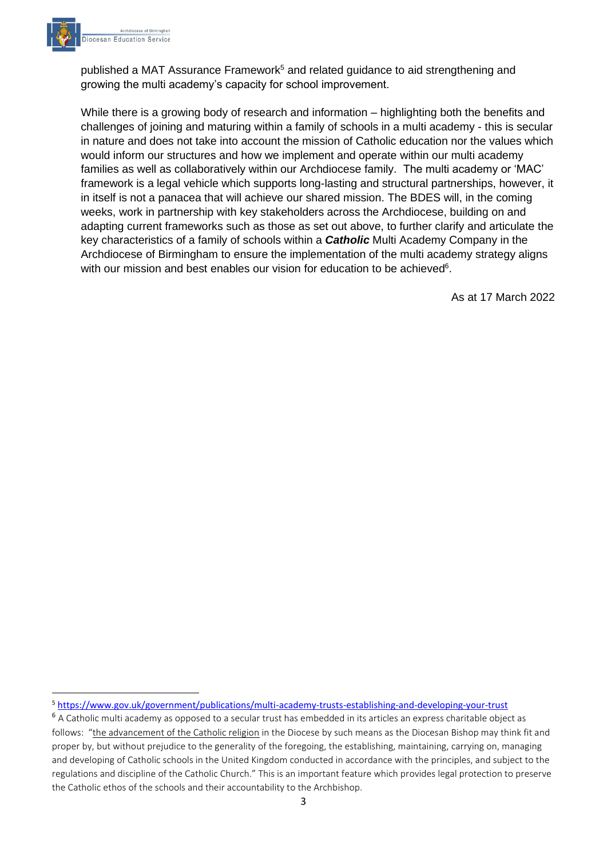

published a MAT Assurance Framework<sup>5</sup> and related guidance to aid strengthening and growing the multi academy's capacity for school improvement.

While there is a growing body of research and information – highlighting both the benefits and challenges of joining and maturing within a family of schools in a multi academy - this is secular in nature and does not take into account the mission of Catholic education nor the values which would inform our structures and how we implement and operate within our multi academy families as well as collaboratively within our Archdiocese family. The multi academy or 'MAC' framework is a legal vehicle which supports long-lasting and structural partnerships, however, it in itself is not a panacea that will achieve our shared mission. The BDES will, in the coming weeks, work in partnership with key stakeholders across the Archdiocese, building on and adapting current frameworks such as those as set out above, to further clarify and articulate the key characteristics of a family of schools within a *Catholic* Multi Academy Company in the Archdiocese of Birmingham to ensure the implementation of the multi academy strategy aligns with our mission and best enables our vision for education to be achieved $6$ .

As at 17 March 2022

<sup>5</sup> <https://www.gov.uk/government/publications/multi-academy-trusts-establishing-and-developing-your-trust>

<sup>&</sup>lt;sup>6</sup> A Catholic multi academy as opposed to a secular trust has embedded in its articles an express charitable object as follows: "the advancement of the Catholic religion in the Diocese by such means as the Diocesan Bishop may think fit and proper by, but without prejudice to the generality of the foregoing, the establishing, maintaining, carrying on, managing and developing of Catholic schools in the United Kingdom conducted in accordance with the principles, and subject to the regulations and discipline of the Catholic Church." This is an important feature which provides legal protection to preserve the Catholic ethos of the schools and their accountability to the Archbishop.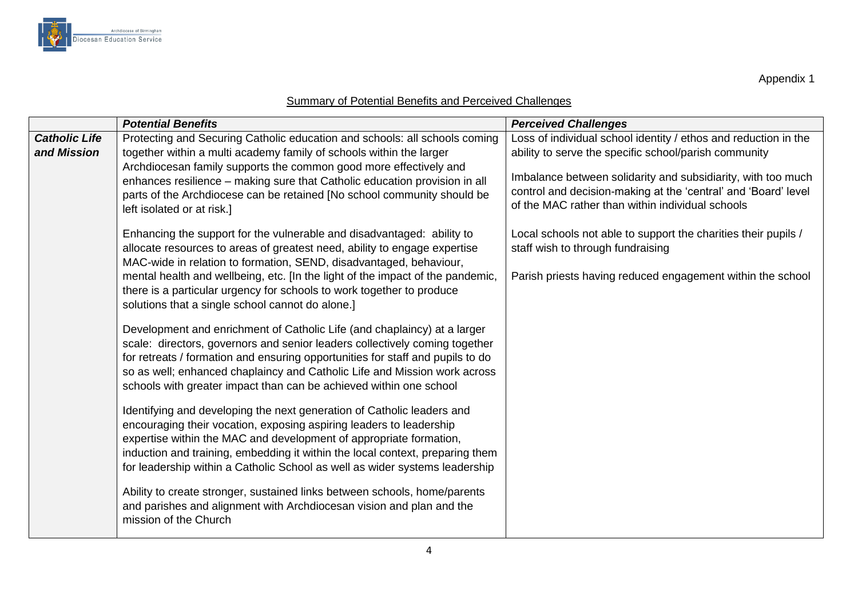

Appendix 1

# Summary of Potential Benefits and Perceived Challenges

|                                     | <b>Potential Benefits</b>                                                                                                                                                                                                                                                                                                                                                                                                                | <b>Perceived Challenges</b>                                                                                                                                                                                                                                                                                    |
|-------------------------------------|------------------------------------------------------------------------------------------------------------------------------------------------------------------------------------------------------------------------------------------------------------------------------------------------------------------------------------------------------------------------------------------------------------------------------------------|----------------------------------------------------------------------------------------------------------------------------------------------------------------------------------------------------------------------------------------------------------------------------------------------------------------|
| <b>Catholic Life</b><br>and Mission | Protecting and Securing Catholic education and schools: all schools coming<br>together within a multi academy family of schools within the larger<br>Archdiocesan family supports the common good more effectively and<br>enhances resilience - making sure that Catholic education provision in all<br>parts of the Archdiocese can be retained [No school community should be<br>left isolated or at risk.]                            | Loss of individual school identity / ethos and reduction in the<br>ability to serve the specific school/parish community<br>Imbalance between solidarity and subsidiarity, with too much<br>control and decision-making at the 'central' and 'Board' level<br>of the MAC rather than within individual schools |
|                                     | Enhancing the support for the vulnerable and disadvantaged: ability to<br>allocate resources to areas of greatest need, ability to engage expertise<br>MAC-wide in relation to formation, SEND, disadvantaged, behaviour,<br>mental health and wellbeing, etc. [In the light of the impact of the pandemic,<br>there is a particular urgency for schools to work together to produce<br>solutions that a single school cannot do alone.] | Local schools not able to support the charities their pupils /<br>staff wish to through fundraising<br>Parish priests having reduced engagement within the school                                                                                                                                              |
|                                     | Development and enrichment of Catholic Life (and chaplaincy) at a larger<br>scale: directors, governors and senior leaders collectively coming together<br>for retreats / formation and ensuring opportunities for staff and pupils to do<br>so as well; enhanced chaplaincy and Catholic Life and Mission work across<br>schools with greater impact than can be achieved within one school                                             |                                                                                                                                                                                                                                                                                                                |
|                                     | Identifying and developing the next generation of Catholic leaders and<br>encouraging their vocation, exposing aspiring leaders to leadership<br>expertise within the MAC and development of appropriate formation,<br>induction and training, embedding it within the local context, preparing them<br>for leadership within a Catholic School as well as wider systems leadership                                                      |                                                                                                                                                                                                                                                                                                                |
|                                     | Ability to create stronger, sustained links between schools, home/parents<br>and parishes and alignment with Archdiocesan vision and plan and the<br>mission of the Church                                                                                                                                                                                                                                                               |                                                                                                                                                                                                                                                                                                                |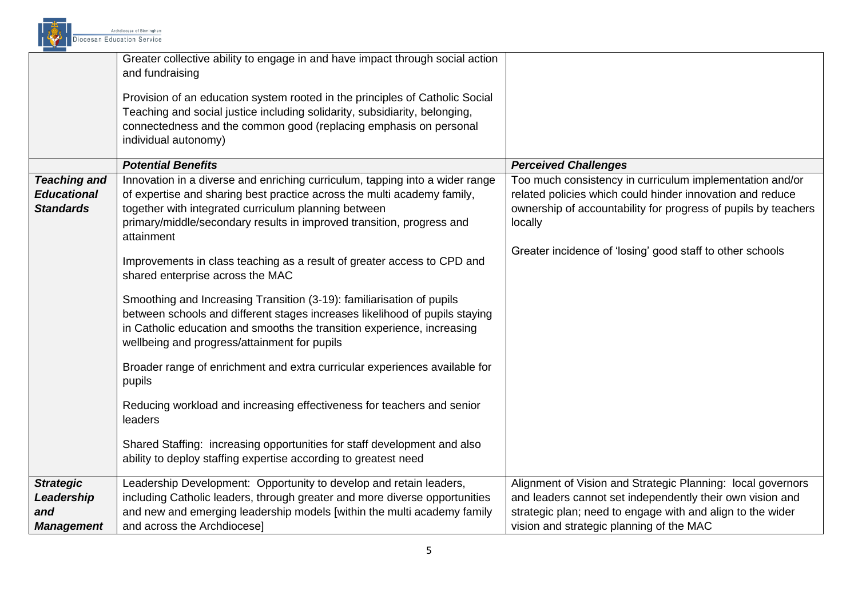

|                                                               | Greater collective ability to engage in and have impact through social action<br>and fundraising<br>Provision of an education system rooted in the principles of Catholic Social<br>Teaching and social justice including solidarity, subsidiarity, belonging,<br>connectedness and the common good (replacing emphasis on personal<br>individual autonomy)                                                                                                                                                                                                                                                                                              |                                                                                                                                                                                                                                                                 |
|---------------------------------------------------------------|----------------------------------------------------------------------------------------------------------------------------------------------------------------------------------------------------------------------------------------------------------------------------------------------------------------------------------------------------------------------------------------------------------------------------------------------------------------------------------------------------------------------------------------------------------------------------------------------------------------------------------------------------------|-----------------------------------------------------------------------------------------------------------------------------------------------------------------------------------------------------------------------------------------------------------------|
|                                                               | <b>Potential Benefits</b>                                                                                                                                                                                                                                                                                                                                                                                                                                                                                                                                                                                                                                | <b>Perceived Challenges</b>                                                                                                                                                                                                                                     |
| <b>Teaching and</b><br><b>Educational</b><br><b>Standards</b> | Innovation in a diverse and enriching curriculum, tapping into a wider range<br>of expertise and sharing best practice across the multi academy family,<br>together with integrated curriculum planning between<br>primary/middle/secondary results in improved transition, progress and<br>attainment<br>Improvements in class teaching as a result of greater access to CPD and<br>shared enterprise across the MAC<br>Smoothing and Increasing Transition (3-19): familiarisation of pupils<br>between schools and different stages increases likelihood of pupils staying<br>in Catholic education and smooths the transition experience, increasing | Too much consistency in curriculum implementation and/or<br>related policies which could hinder innovation and reduce<br>ownership of accountability for progress of pupils by teachers<br>locally<br>Greater incidence of 'losing' good staff to other schools |
|                                                               | wellbeing and progress/attainment for pupils<br>Broader range of enrichment and extra curricular experiences available for<br>pupils                                                                                                                                                                                                                                                                                                                                                                                                                                                                                                                     |                                                                                                                                                                                                                                                                 |
|                                                               | Reducing workload and increasing effectiveness for teachers and senior<br>leaders                                                                                                                                                                                                                                                                                                                                                                                                                                                                                                                                                                        |                                                                                                                                                                                                                                                                 |
|                                                               | Shared Staffing: increasing opportunities for staff development and also<br>ability to deploy staffing expertise according to greatest need                                                                                                                                                                                                                                                                                                                                                                                                                                                                                                              |                                                                                                                                                                                                                                                                 |
| <b>Strategic</b>                                              | Leadership Development: Opportunity to develop and retain leaders,                                                                                                                                                                                                                                                                                                                                                                                                                                                                                                                                                                                       | Alignment of Vision and Strategic Planning: local governors                                                                                                                                                                                                     |
| Leadership                                                    | including Catholic leaders, through greater and more diverse opportunities                                                                                                                                                                                                                                                                                                                                                                                                                                                                                                                                                                               | and leaders cannot set independently their own vision and                                                                                                                                                                                                       |
| and                                                           | and new and emerging leadership models [within the multi academy family                                                                                                                                                                                                                                                                                                                                                                                                                                                                                                                                                                                  | strategic plan; need to engage with and align to the wider                                                                                                                                                                                                      |
| <b>Management</b>                                             | and across the Archdiocese]                                                                                                                                                                                                                                                                                                                                                                                                                                                                                                                                                                                                                              | vision and strategic planning of the MAC                                                                                                                                                                                                                        |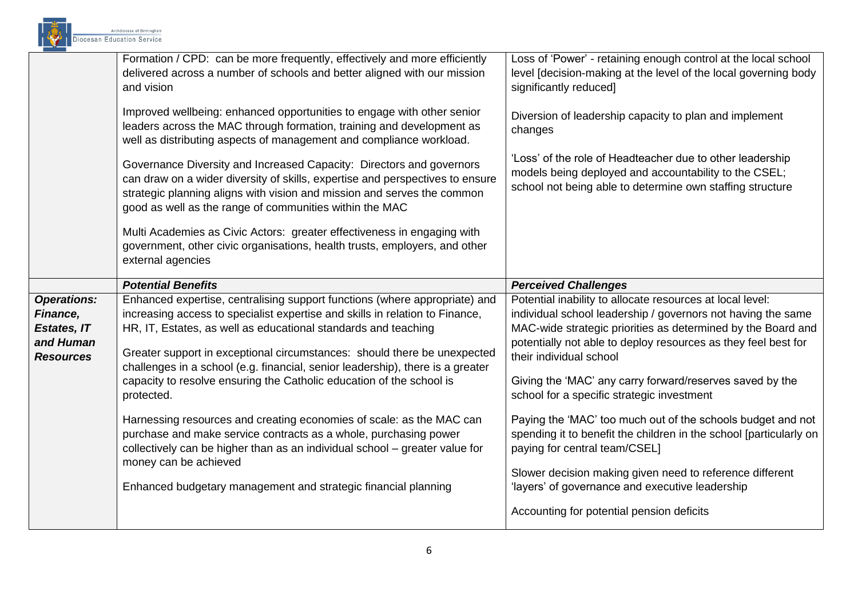

|                                                                                       | Formation / CPD: can be more frequently, effectively and more efficiently<br>delivered across a number of schools and better aligned with our mission<br>and vision                                                                                                                                                                                                                                                                                                              | Loss of 'Power' - retaining enough control at the local school<br>level [decision-making at the level of the local governing body<br>significantly reduced]                                                                                                                                                                                                                                      |
|---------------------------------------------------------------------------------------|----------------------------------------------------------------------------------------------------------------------------------------------------------------------------------------------------------------------------------------------------------------------------------------------------------------------------------------------------------------------------------------------------------------------------------------------------------------------------------|--------------------------------------------------------------------------------------------------------------------------------------------------------------------------------------------------------------------------------------------------------------------------------------------------------------------------------------------------------------------------------------------------|
|                                                                                       | Improved wellbeing: enhanced opportunities to engage with other senior<br>leaders across the MAC through formation, training and development as<br>well as distributing aspects of management and compliance workload.                                                                                                                                                                                                                                                           | Diversion of leadership capacity to plan and implement<br>changes                                                                                                                                                                                                                                                                                                                                |
|                                                                                       | Governance Diversity and Increased Capacity: Directors and governors<br>can draw on a wider diversity of skills, expertise and perspectives to ensure<br>strategic planning aligns with vision and mission and serves the common<br>good as well as the range of communities within the MAC                                                                                                                                                                                      | 'Loss' of the role of Headteacher due to other leadership<br>models being deployed and accountability to the CSEL;<br>school not being able to determine own staffing structure                                                                                                                                                                                                                  |
|                                                                                       | Multi Academies as Civic Actors: greater effectiveness in engaging with<br>government, other civic organisations, health trusts, employers, and other<br>external agencies                                                                                                                                                                                                                                                                                                       |                                                                                                                                                                                                                                                                                                                                                                                                  |
|                                                                                       | <b>Potential Benefits</b>                                                                                                                                                                                                                                                                                                                                                                                                                                                        | <b>Perceived Challenges</b>                                                                                                                                                                                                                                                                                                                                                                      |
| <b>Operations:</b><br>Finance,<br><b>Estates, IT</b><br>and Human<br><b>Resources</b> | Enhanced expertise, centralising support functions (where appropriate) and<br>increasing access to specialist expertise and skills in relation to Finance,<br>HR, IT, Estates, as well as educational standards and teaching<br>Greater support in exceptional circumstances: should there be unexpected<br>challenges in a school (e.g. financial, senior leadership), there is a greater<br>capacity to resolve ensuring the Catholic education of the school is<br>protected. | Potential inability to allocate resources at local level:<br>individual school leadership / governors not having the same<br>MAC-wide strategic priorities as determined by the Board and<br>potentially not able to deploy resources as they feel best for<br>their individual school<br>Giving the 'MAC' any carry forward/reserves saved by the<br>school for a specific strategic investment |
|                                                                                       | Harnessing resources and creating economies of scale: as the MAC can<br>purchase and make service contracts as a whole, purchasing power<br>collectively can be higher than as an individual school - greater value for<br>money can be achieved<br>Enhanced budgetary management and strategic financial planning                                                                                                                                                               | Paying the 'MAC' too much out of the schools budget and not<br>spending it to benefit the children in the school [particularly on<br>paying for central team/CSEL]<br>Slower decision making given need to reference different<br>'layers' of governance and executive leadership                                                                                                                |
|                                                                                       |                                                                                                                                                                                                                                                                                                                                                                                                                                                                                  | Accounting for potential pension deficits                                                                                                                                                                                                                                                                                                                                                        |